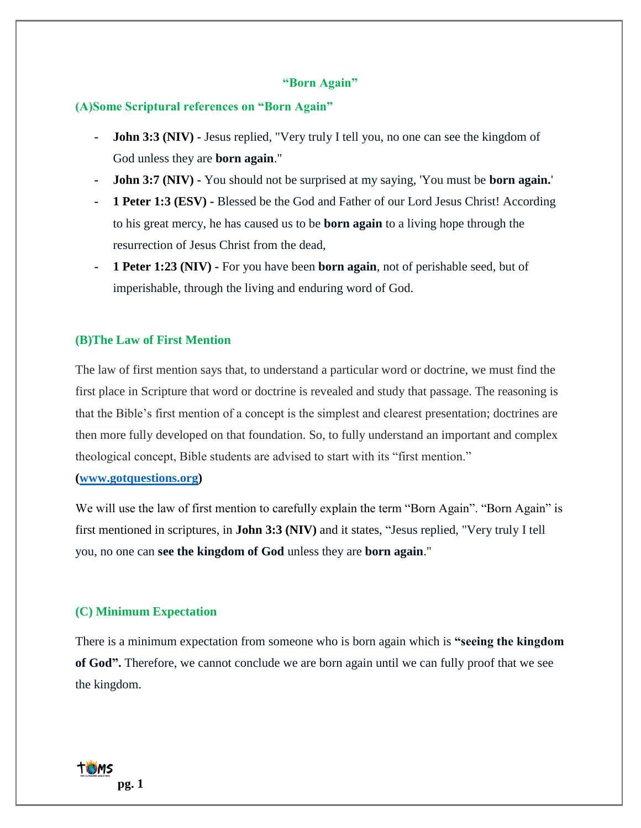#### **"Born Again"**

#### **(A)Some Scriptural references on "Born Again"**

- **- John 3:3 (NIV) -** Jesus replied, "Very truly I tell you, no one can see the kingdom of God unless they are **born again**."
- **- John 3:7 (NIV) -** You should not be surprised at my saying, 'You must be **born again.**'
- **- 1 Peter 1:3 (ESV) -** Blessed be the God and Father of our Lord Jesus Christ! According to his great mercy, he has caused us to be **born again** to a living hope through the resurrection of Jesus Christ from the dead,
- **- 1 Peter 1:23 (NIV) -** For you have been **born again**, not of perishable seed, but of imperishable, through the living and enduring word of God.

### **(B)The Law of First Mention**

The law of first mention says that, to understand a particular word or doctrine, we must find the first place in Scripture that word or doctrine is revealed and study that passage. The reasoning is that the Bible's first mention of a concept is the simplest and clearest presentation; doctrines are then more fully developed on that foundation. So, to fully understand an important and complex theological concept, Bible students are advised to start with its "first mention."

### **[\(www.gotquestions.org\)](http://www.gotquestions.org/)**

We will use the law of first mention to carefully explain the term "Born Again". "Born Again" is first mentioned in scriptures, in **John 3:3 (NIV)** and it states, "Jesus replied, "Very truly I tell you, no one can **see the kingdom of God** unless they are **born again**."

### **(C) Minimum Expectation**

There is a minimum expectation from someone who is born again which is **"seeing the kingdom of God".** Therefore, we cannot conclude we are born again until we can fully proof that we see the kingdom.

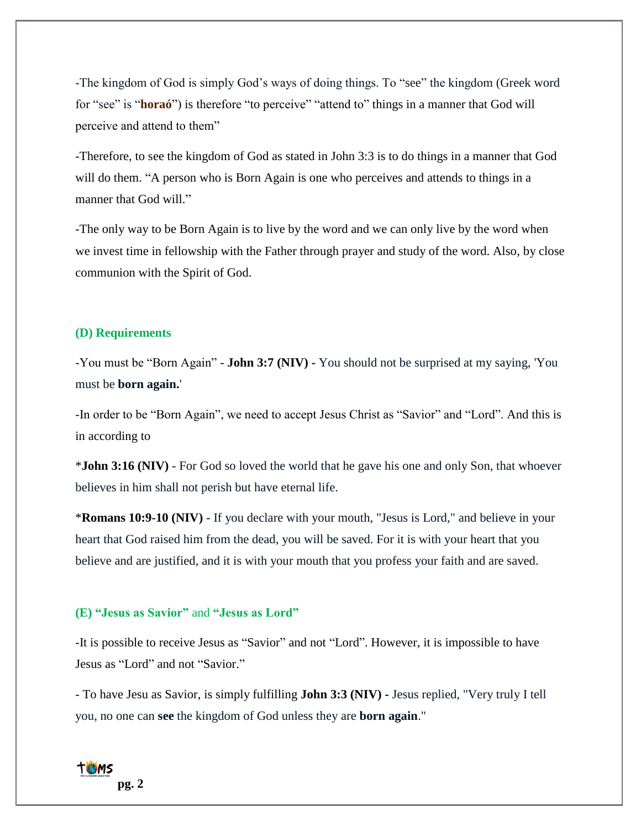-The kingdom of God is simply God's ways of doing things. To "see" the kingdom (Greek word for "see" is "**horaó**") is therefore "to perceive" "attend to" things in a manner that God will perceive and attend to them"

-Therefore, to see the kingdom of God as stated in John 3:3 is to do things in a manner that God will do them. "A person who is Born Again is one who perceives and attends to things in a manner that God will."

-The only way to be Born Again is to live by the word and we can only live by the word when we invest time in fellowship with the Father through prayer and study of the word. Also, by close communion with the Spirit of God.

#### **(D) Requirements**

-You must be "Born Again" - **John 3:7 (NIV) -** You should not be surprised at my saying, 'You must be **born again.**'

-In order to be "Born Again", we need to accept Jesus Christ as "Savior" and "Lord". And this is in according to

\***John 3:16 (NIV)** - For God so loved the world that he gave his one and only Son, that whoever believes in him shall not perish but have eternal life.

\***Romans 10:9-10 (NIV)** - If you declare with your mouth, "Jesus is Lord," and believe in your heart that God raised him from the dead, you will be saved. For it is with your heart that you believe and are justified, and it is with your mouth that you profess your faith and are saved.

# **(E) "Jesus as Savior"** and **"Jesus as Lord"**

-It is possible to receive Jesus as "Savior" and not "Lord". However, it is impossible to have Jesus as "Lord" and not "Savior."

- To have Jesu as Savior, is simply fulfilling **John 3:3 (NIV) -** Jesus replied, "Very truly I tell you, no one can **see** the kingdom of God unless they are **born again**."